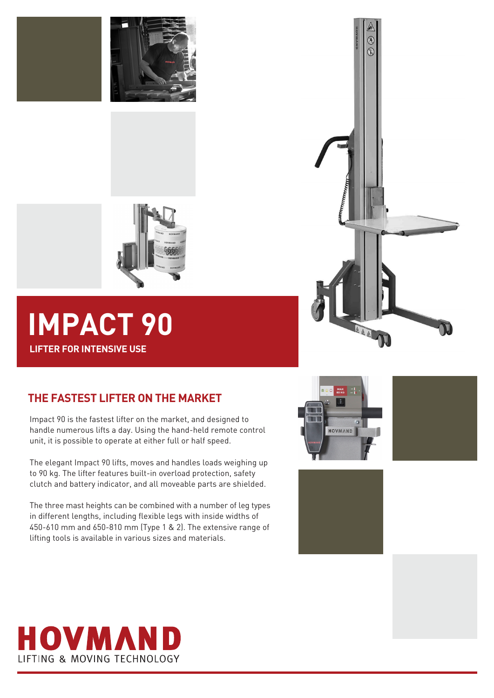



# **IMPACT 90 LIFTER FOR INTENSIVE USE**

## **THE FASTEST LIFTER ON THE MARKET**

Impact 90 is the fastest lifter on the market, and designed to handle numerous lifts a day. Using the hand-held remote control unit, it is possible to operate at either full or half speed.

The elegant Impact 90 lifts, moves and handles loads weighing up to 90 kg. The lifter features built-in overload protection, safety clutch and battery indicator, and all moveable parts are shielded.

The three mast heights can be combined with a number of leg types in different lengths, including flexible legs with inside widths of 450-610 mm and 650-810 mm (Type 1 & 2). The extensive range of lifting tools is available in various sizes and materials.